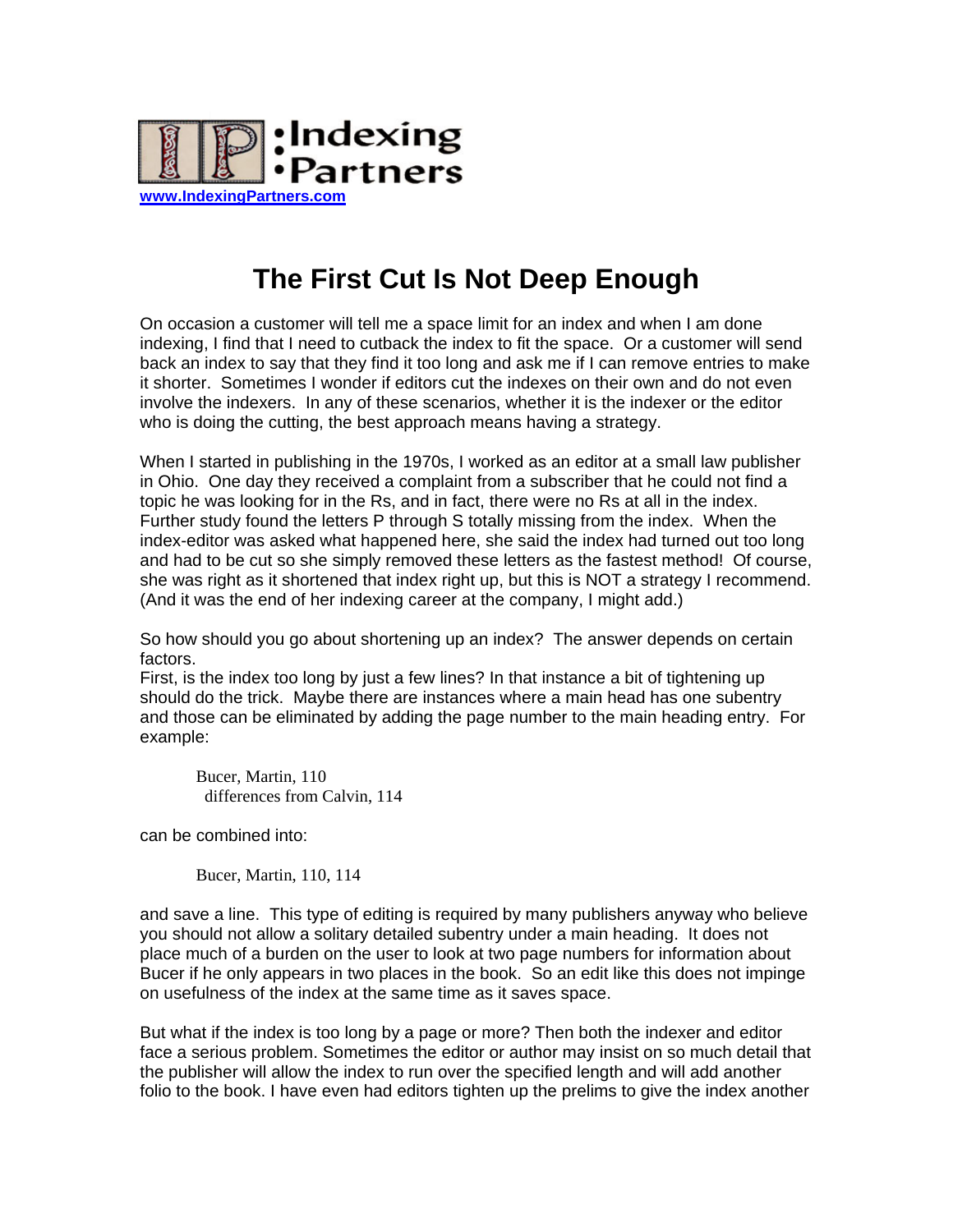

## **The First Cut Is Not Deep Enough**

On occasion a customer will tell me a space limit for an index and when I am done indexing, I find that I need to cutback the index to fit the space. Or a customer will send back an index to say that they find it too long and ask me if I can remove entries to make it shorter. Sometimes I wonder if editors cut the indexes on their own and do not even involve the indexers. In any of these scenarios, whether it is the indexer or the editor who is doing the cutting, the best approach means having a strategy.

When I started in publishing in the 1970s, I worked as an editor at a small law publisher in Ohio. One day they received a complaint from a subscriber that he could not find a topic he was looking for in the Rs, and in fact, there were no Rs at all in the index. Further study found the letters P through S totally missing from the index. When the index-editor was asked what happened here, she said the index had turned out too long and had to be cut so she simply removed these letters as the fastest method! Of course, she was right as it shortened that index right up, but this is NOT a strategy I recommend. (And it was the end of her indexing career at the company, I might add.)

So how should you go about shortening up an index? The answer depends on certain factors.

First, is the index too long by just a few lines? In that instance a bit of tightening up should do the trick. Maybe there are instances where a main head has one subentry and those can be eliminated by adding the page number to the main heading entry. For example:

Bucer, Martin, 110 differences from Calvin, 114

can be combined into:

Bucer, Martin, 110, 114

and save a line. This type of editing is required by many publishers anyway who believe you should not allow a solitary detailed subentry under a main heading. It does not place much of a burden on the user to look at two page numbers for information about Bucer if he only appears in two places in the book. So an edit like this does not impinge on usefulness of the index at the same time as it saves space.

But what if the index is too long by a page or more? Then both the indexer and editor face a serious problem. Sometimes the editor or author may insist on so much detail that the publisher will allow the index to run over the specified length and will add another folio to the book. I have even had editors tighten up the prelims to give the index another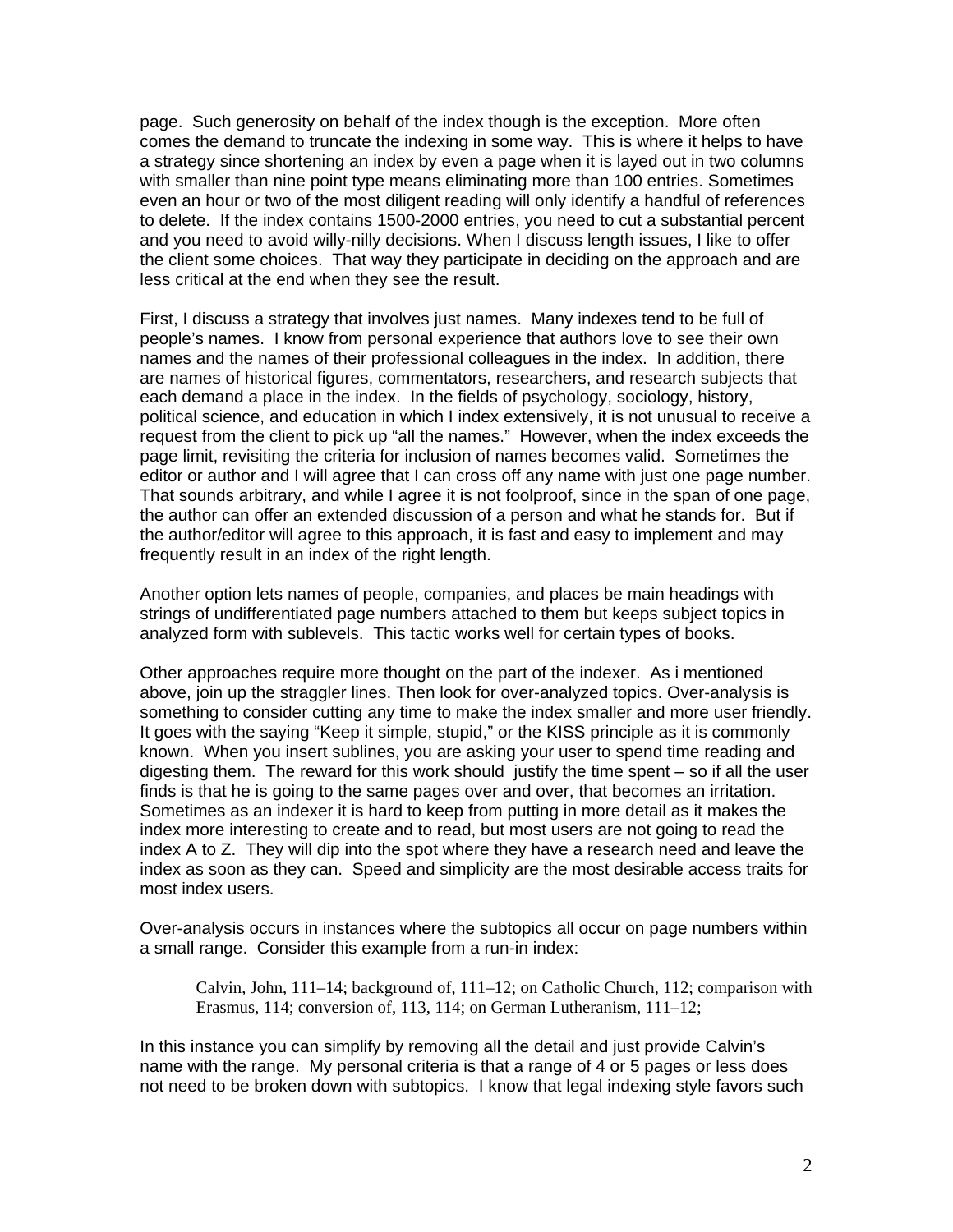page. Such generosity on behalf of the index though is the exception. More often comes the demand to truncate the indexing in some way. This is where it helps to have a strategy since shortening an index by even a page when it is layed out in two columns with smaller than nine point type means eliminating more than 100 entries. Sometimes even an hour or two of the most diligent reading will only identify a handful of references to delete. If the index contains 1500-2000 entries, you need to cut a substantial percent and you need to avoid willy-nilly decisions. When I discuss length issues, I like to offer the client some choices. That way they participate in deciding on the approach and are less critical at the end when they see the result.

First, I discuss a strategy that involves just names. Many indexes tend to be full of people's names. I know from personal experience that authors love to see their own names and the names of their professional colleagues in the index. In addition, there are names of historical figures, commentators, researchers, and research subjects that each demand a place in the index. In the fields of psychology, sociology, history, political science, and education in which I index extensively, it is not unusual to receive a request from the client to pick up "all the names." However, when the index exceeds the page limit, revisiting the criteria for inclusion of names becomes valid. Sometimes the editor or author and I will agree that I can cross off any name with just one page number. That sounds arbitrary, and while I agree it is not foolproof, since in the span of one page, the author can offer an extended discussion of a person and what he stands for. But if the author/editor will agree to this approach, it is fast and easy to implement and may frequently result in an index of the right length.

Another option lets names of people, companies, and places be main headings with strings of undifferentiated page numbers attached to them but keeps subject topics in analyzed form with sublevels. This tactic works well for certain types of books.

Other approaches require more thought on the part of the indexer. As i mentioned above, join up the straggler lines. Then look for over-analyzed topics. Over-analysis is something to consider cutting any time to make the index smaller and more user friendly. It goes with the saying "Keep it simple, stupid," or the KISS principle as it is commonly known. When you insert sublines, you are asking your user to spend time reading and digesting them. The reward for this work should justify the time spent – so if all the user finds is that he is going to the same pages over and over, that becomes an irritation. Sometimes as an indexer it is hard to keep from putting in more detail as it makes the index more interesting to create and to read, but most users are not going to read the index A to Z. They will dip into the spot where they have a research need and leave the index as soon as they can. Speed and simplicity are the most desirable access traits for most index users.

Over-analysis occurs in instances where the subtopics all occur on page numbers within a small range. Consider this example from a run-in index:

Calvin, John, 111–14; background of, 111–12; on Catholic Church, 112; comparison with Erasmus, 114; conversion of, 113, 114; on German Lutheranism, 111–12;

In this instance you can simplify by removing all the detail and just provide Calvin's name with the range. My personal criteria is that a range of 4 or 5 pages or less does not need to be broken down with subtopics. I know that legal indexing style favors such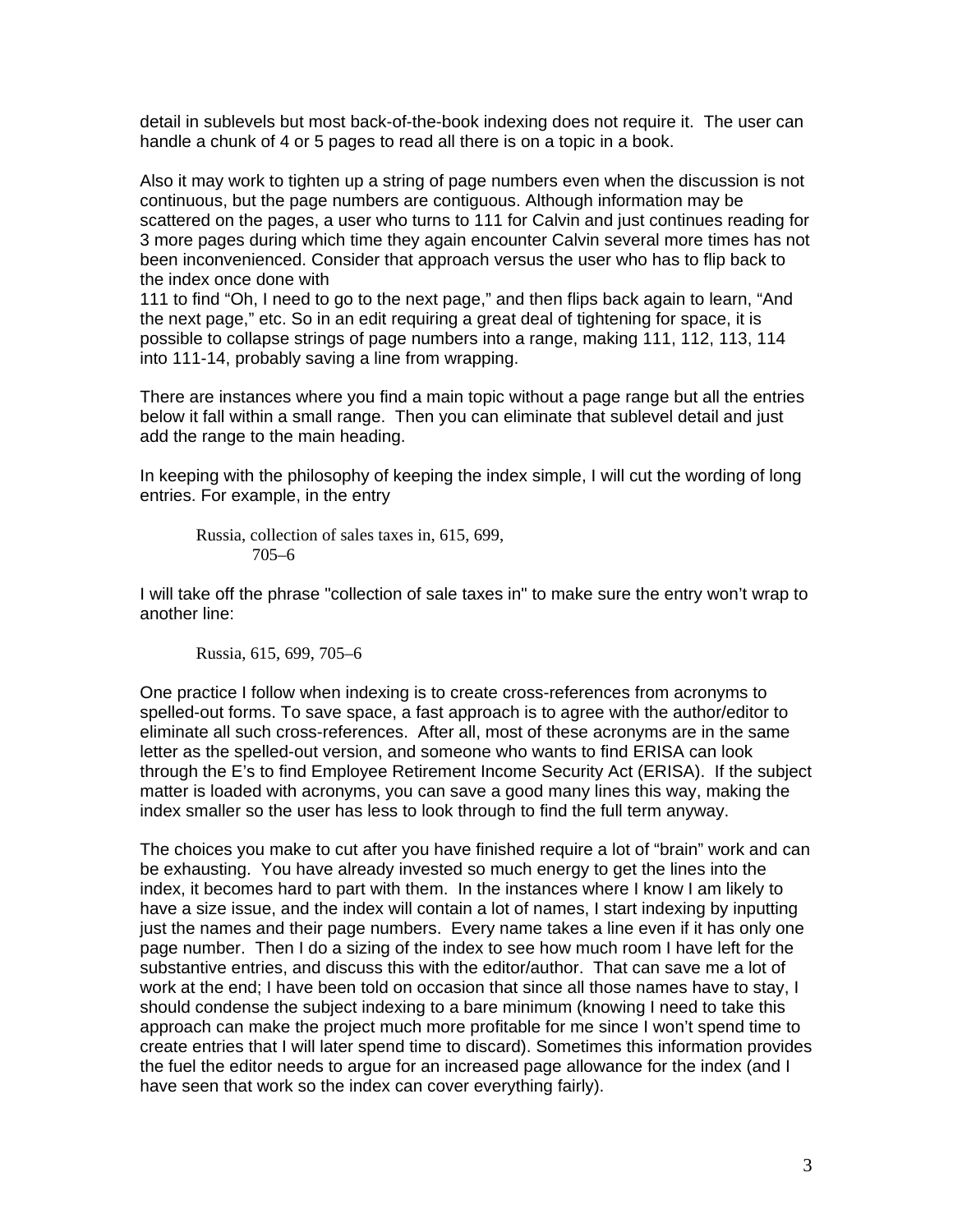detail in sublevels but most back-of-the-book indexing does not require it. The user can handle a chunk of 4 or 5 pages to read all there is on a topic in a book.

Also it may work to tighten up a string of page numbers even when the discussion is not continuous, but the page numbers are contiguous. Although information may be scattered on the pages, a user who turns to 111 for Calvin and just continues reading for 3 more pages during which time they again encounter Calvin several more times has not been inconvenienced. Consider that approach versus the user who has to flip back to the index once done with

111 to find "Oh, I need to go to the next page," and then flips back again to learn, "And the next page," etc. So in an edit requiring a great deal of tightening for space, it is possible to collapse strings of page numbers into a range, making 111, 112, 113, 114 into 111-14, probably saving a line from wrapping.

There are instances where you find a main topic without a page range but all the entries below it fall within a small range. Then you can eliminate that sublevel detail and just add the range to the main heading.

In keeping with the philosophy of keeping the index simple, I will cut the wording of long entries. For example, in the entry

Russia, collection of sales taxes in, 615, 699, 
$$
705-6
$$

I will take off the phrase "collection of sale taxes in" to make sure the entry won't wrap to another line:

Russia, 615, 699, 705–6

One practice I follow when indexing is to create cross-references from acronyms to spelled-out forms. To save space, a fast approach is to agree with the author/editor to eliminate all such cross-references. After all, most of these acronyms are in the same letter as the spelled-out version, and someone who wants to find ERISA can look through the E's to find Employee Retirement Income Security Act (ERISA). If the subject matter is loaded with acronyms, you can save a good many lines this way, making the index smaller so the user has less to look through to find the full term anyway.

The choices you make to cut after you have finished require a lot of "brain" work and can be exhausting. You have already invested so much energy to get the lines into the index, it becomes hard to part with them. In the instances where I know I am likely to have a size issue, and the index will contain a lot of names, I start indexing by inputting just the names and their page numbers. Every name takes a line even if it has only one page number. Then I do a sizing of the index to see how much room I have left for the substantive entries, and discuss this with the editor/author. That can save me a lot of work at the end; I have been told on occasion that since all those names have to stay, I should condense the subject indexing to a bare minimum (knowing I need to take this approach can make the project much more profitable for me since I won't spend time to create entries that I will later spend time to discard). Sometimes this information provides the fuel the editor needs to argue for an increased page allowance for the index (and I have seen that work so the index can cover everything fairly).